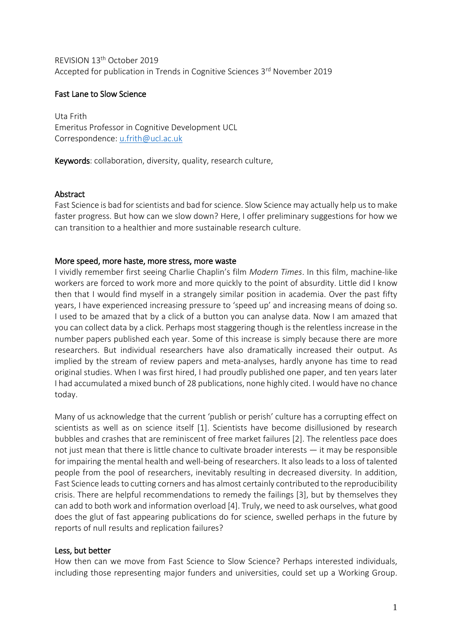REVISION 13<sup>th</sup> October 2019 Accepted for publication in Trends in Cognitive Sciences 3rd November 2019

# Fast Lane to Slow Science

Uta Frith Emeritus Professor in Cognitive Development UCL Correspondence: [u.frith@ucl.ac.uk](mailto:u.frith@ucl.ac.uk)

Keywords: collaboration, diversity, quality, research culture,

## Abstract

Fast Science is bad for scientists and bad for science. Slow Science may actually help us to make faster progress. But how can we slow down? Here, I offer preliminary suggestions for how we can transition to a healthier and more sustainable research culture.

## More speed, more haste, more stress, more waste

I vividly remember first seeing Charlie Chaplin's film *Modern Times*. In this film, machine-like workers are forced to work more and more quickly to the point of absurdity. Little did I know then that I would find myself in a strangely similar position in academia. Over the past fifty years, I have experienced increasing pressure to 'speed up' and increasing means of doing so. I used to be amazed that by a click of a button you can analyse data. Now I am amazed that you can collect data by a click. Perhaps most staggering though is the relentless increase in the number papers published each year. Some of this increase is simply because there are more researchers. But individual researchers have also dramatically increased their output. As implied by the stream of review papers and meta-analyses, hardly anyone has time to read original studies. When I was first hired, I had proudly published one paper, and ten years later I had accumulated a mixed bunch of 28 publications, none highly cited. I would have no chance today.

Many of us acknowledge that the current 'publish or perish' culture has a corrupting effect on scientists as well as on science itself [1]. Scientists have become disillusioned by research bubbles and crashes that are reminiscent of free market failures [2]. The relentless pace does not just mean that there is little chance to cultivate broader interests — it may be responsible for impairing the mental health and well-being of researchers. It also leads to a loss of talented people from the pool of researchers, inevitably resulting in decreased diversity. In addition, Fast Science leads to cutting corners and has almost certainly contributed to the reproducibility crisis. There are helpful recommendations to remedy the failings [3], but by themselves they can add to both work and information overload [4]. Truly, we need to ask ourselves, what good does the glut of fast appearing publications do for science, swelled perhaps in the future by reports of null results and replication failures?

### Less, but better

How then can we move from Fast Science to Slow Science? Perhaps interested individuals, including those representing major funders and universities, could set up a Working Group.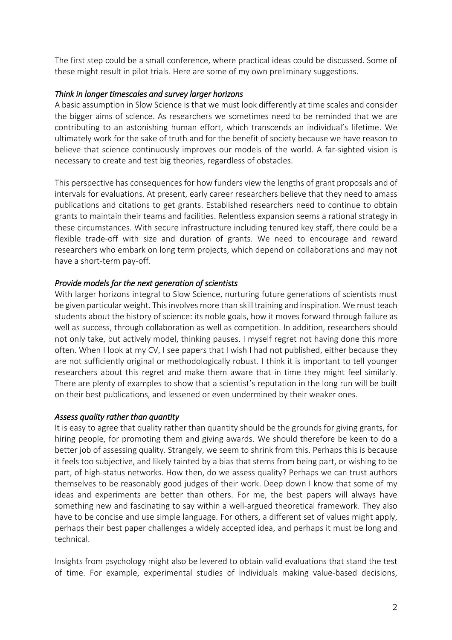The first step could be a small conference, where practical ideas could be discussed. Some of these might result in pilot trials. Here are some of my own preliminary suggestions.

# *Think in longer timescales and survey larger horizons*

A basic assumption in Slow Science is that we must look differently at time scales and consider the bigger aims of science. As researchers we sometimes need to be reminded that we are contributing to an astonishing human effort, which transcends an individual's lifetime. We ultimately work for the sake of truth and for the benefit of society because we have reason to believe that science continuously improves our models of the world. A far-sighted vision is necessary to create and test big theories, regardless of obstacles.

This perspective has consequences for how funders view the lengths of grant proposals and of intervals for evaluations. At present, early career researchers believe that they need to amass publications and citations to get grants. Established researchers need to continue to obtain grants to maintain their teams and facilities. Relentless expansion seems a rational strategy in these circumstances. With secure infrastructure including tenured key staff, there could be a flexible trade-off with size and duration of grants. We need to encourage and reward researchers who embark on long term projects, which depend on collaborations and may not have a short-term pay-off.

## *Provide models for the next generation of scientists*

With larger horizons integral to Slow Science, nurturing future generations of scientists must be given particular weight. This involves more than skill training and inspiration. We must teach students about the history of science: its noble goals, how it moves forward through failure as well as success, through collaboration as well as competition. In addition, researchers should not only take, but actively model, thinking pauses. I myself regret not having done this more often. When I look at my CV, I see papers that I wish I had not published, either because they are not sufficiently original or methodologically robust. I think it is important to tell younger researchers about this regret and make them aware that in time they might feel similarly. There are plenty of examples to show that a scientist's reputation in the long run will be built on their best publications, and lessened or even undermined by their weaker ones.

### *Assess quality rather than quantity*

It is easy to agree that quality rather than quantity should be the grounds for giving grants, for hiring people, for promoting them and giving awards. We should therefore be keen to do a better job of assessing quality. Strangely, we seem to shrink from this. Perhaps this is because it feels too subjective, and likely tainted by a bias that stems from being part, or wishing to be part, of high-status networks. How then, do we assess quality? Perhaps we can trust authors themselves to be reasonably good judges of their work. Deep down I know that some of my ideas and experiments are better than others. For me, the best papers will always have something new and fascinating to say within a well-argued theoretical framework. They also have to be concise and use simple language. For others, a different set of values might apply, perhaps their best paper challenges a widely accepted idea, and perhaps it must be long and technical.

Insights from psychology might also be levered to obtain valid evaluations that stand the test of time. For example, experimental studies of individuals making value-based decisions,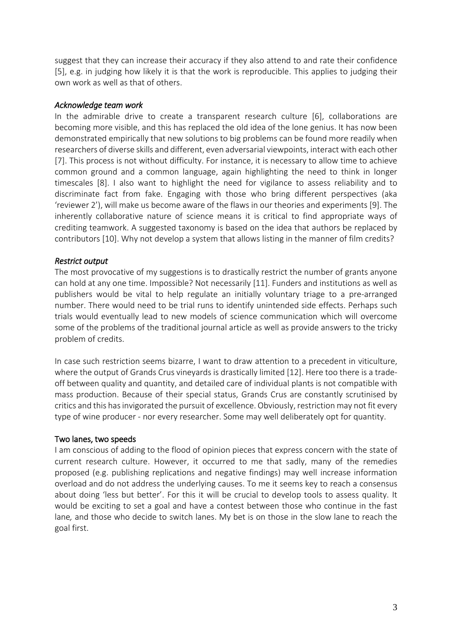suggest that they can increase their accuracy if they also attend to and rate their confidence [5], e.g. in judging how likely it is that the work is reproducible. This applies to judging their own work as well as that of others.

### *Acknowledge team work*

In the admirable drive to create a transparent research culture [6], collaborations are becoming more visible, and this has replaced the old idea of the lone genius. It has now been demonstrated empirically that new solutions to big problems can be found more readily when researchers of diverse skills and different, even adversarial viewpoints, interact with each other [7]. This process is not without difficulty. For instance, it is necessary to allow time to achieve common ground and a common language, again highlighting the need to think in longer timescales [8]. I also want to highlight the need for vigilance to assess reliability and to discriminate fact from fake. Engaging with those who bring different perspectives (aka 'reviewer 2'), will make us become aware of the flaws in our theories and experiments [9]. The inherently collaborative nature of science means it is critical to find appropriate ways of crediting teamwork. A suggested taxonomy is based on the idea that authors be replaced by contributors [10]. Why not develop a system that allows listing in the manner of film credits?

#### *Restrict output*

The most provocative of my suggestions is to drastically restrict the number of grants anyone can hold at any one time. Impossible? Not necessarily [11]. Funders and institutions as well as publishers would be vital to help regulate an initially voluntary triage to a pre-arranged number. There would need to be trial runs to identify unintended side effects. Perhaps such trials would eventually lead to new models of science communication which will overcome some of the problems of the traditional journal article as well as provide answers to the tricky problem of credits.

In case such restriction seems bizarre, I want to draw attention to a precedent in viticulture, where the output of Grands Crus vineyards is drastically limited [12]. Here too there is a tradeoff between quality and quantity, and detailed care of individual plants is not compatible with mass production. Because of their special status, Grands Crus are constantly scrutinised by critics and this has invigorated the pursuit of excellence. Obviously, restriction may not fit every type of wine producer - nor every researcher. Some may well deliberately opt for quantity.

#### Two lanes, two speeds

I am conscious of adding to the flood of opinion pieces that express concern with the state of current research culture. However, it occurred to me that sadly, many of the remedies proposed (e.g. publishing replications and negative findings) may well increase information overload and do not address the underlying causes. To me it seems key to reach a consensus about doing 'less but better'. For this it will be crucial to develop tools to assess quality. It would be exciting to set a goal and have a contest between those who continue in the fast lane*,* and those who decide to switch lanes. My bet is on those in the slow lane to reach the goal first.